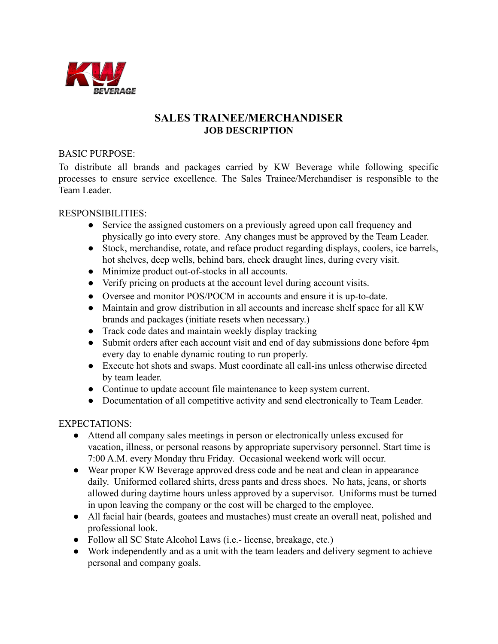

## **SALES TRAINEE/MERCHANDISER JOB DESCRIPTION**

## BASIC PURPOSE:

To distribute all brands and packages carried by KW Beverage while following specific processes to ensure service excellence. The Sales Trainee/Merchandiser is responsible to the Team Leader.

## RESPONSIBILITIES:

- Service the assigned customers on a previously agreed upon call frequency and physically go into every store. Any changes must be approved by the Team Leader.
- Stock, merchandise, rotate, and reface product regarding displays, coolers, ice barrels, hot shelves, deep wells, behind bars, check draught lines, during every visit.
- Minimize product out-of-stocks in all accounts.
- Verify pricing on products at the account level during account visits.
- Oversee and monitor POS/POCM in accounts and ensure it is up-to-date.
- Maintain and grow distribution in all accounts and increase shelf space for all KW brands and packages (initiate resets when necessary.)
- Track code dates and maintain weekly display tracking
- Submit orders after each account visit and end of day submissions done before 4pm every day to enable dynamic routing to run properly.
- Execute hot shots and swaps. Must coordinate all call-ins unless otherwise directed by team leader.
- Continue to update account file maintenance to keep system current.
- Documentation of all competitive activity and send electronically to Team Leader.

## EXPECTATIONS:

- Attend all company sales meetings in person or electronically unless excused for vacation, illness, or personal reasons by appropriate supervisory personnel. Start time is 7:00 A.M. every Monday thru Friday. Occasional weekend work will occur.
- Wear proper KW Beverage approved dress code and be neat and clean in appearance daily. Uniformed collared shirts, dress pants and dress shoes. No hats, jeans, or shorts allowed during daytime hours unless approved by a supervisor. Uniforms must be turned in upon leaving the company or the cost will be charged to the employee.
- All facial hair (beards, goatees and mustaches) must create an overall neat, polished and professional look.
- Follow all SC State Alcohol Laws (i.e.- license, breakage, etc.)
- Work independently and as a unit with the team leaders and delivery segment to achieve personal and company goals.